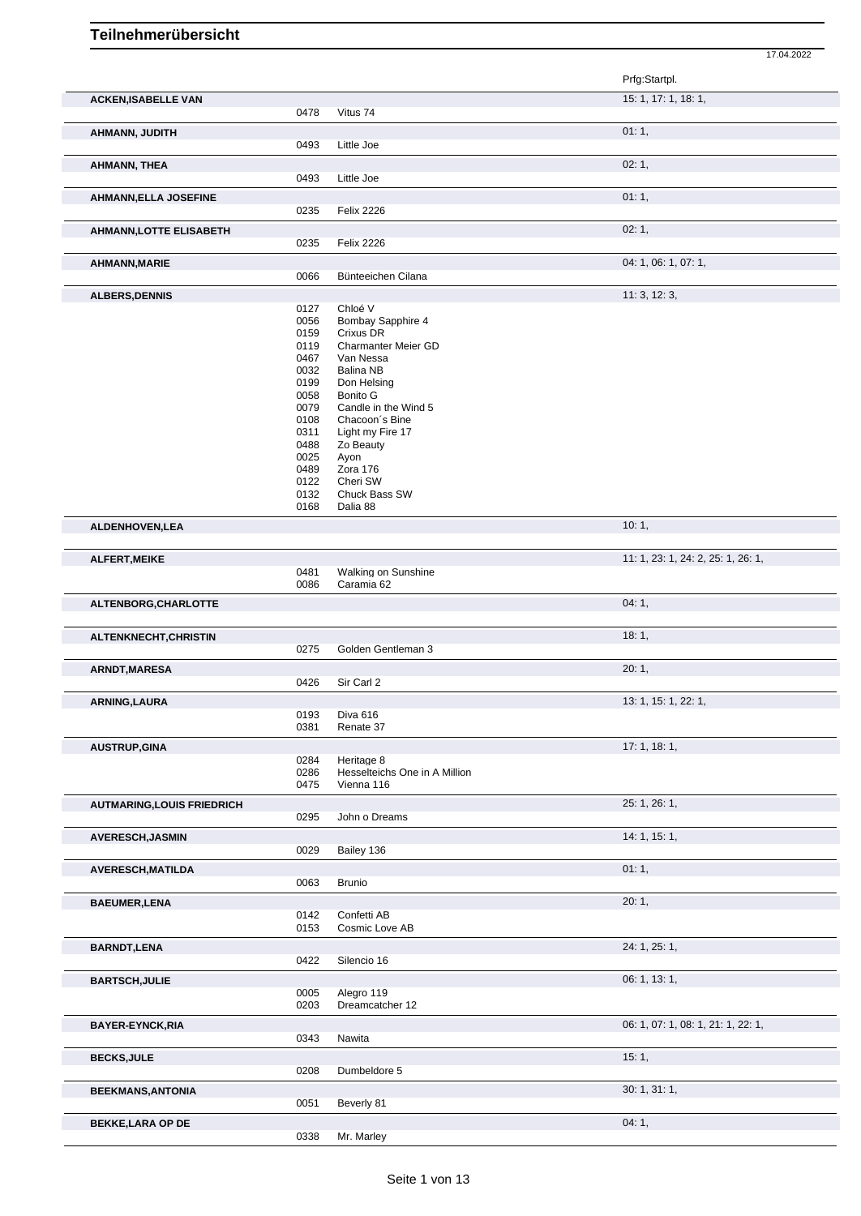|                                   |              |                                    | Prfg:Startpl.                      |  |
|-----------------------------------|--------------|------------------------------------|------------------------------------|--|
| <b>ACKEN, ISABELLE VAN</b>        |              |                                    | 15: 1, 17: 1, 18: 1,               |  |
|                                   | 0478         | Vitus 74                           |                                    |  |
| AHMANN, JUDITH                    |              |                                    | 01:1,                              |  |
|                                   | 0493         | Little Joe                         |                                    |  |
| AHMANN, THEA                      |              |                                    | 02:1,                              |  |
|                                   | 0493         | Little Joe                         |                                    |  |
| <b>AHMANN, ELLA JOSEFINE</b>      | 0235         | <b>Felix 2226</b>                  | 01:1,                              |  |
|                                   |              |                                    |                                    |  |
| <b>AHMANN, LOTTE ELISABETH</b>    | 0235         | <b>Felix 2226</b>                  | 02:1,                              |  |
|                                   |              |                                    | 04: 1, 06: 1, 07: 1,               |  |
| <b>AHMANN, MARIE</b>              | 0066         | Bünteeichen Cilana                 |                                    |  |
| <b>ALBERS, DENNIS</b>             |              |                                    | 11:3, 12:3,                        |  |
|                                   | 0127         | Chloé V                            |                                    |  |
|                                   | 0056<br>0159 | Bombay Sapphire 4<br>Crixus DR     |                                    |  |
|                                   | 0119         | Charmanter Meier GD                |                                    |  |
|                                   | 0467         | Van Nessa                          |                                    |  |
|                                   | 0032<br>0199 | <b>Balina NB</b><br>Don Helsing    |                                    |  |
|                                   | 0058         | Bonito G                           |                                    |  |
|                                   | 0079         | Candle in the Wind 5               |                                    |  |
|                                   | 0108<br>0311 | Chacoon's Bine<br>Light my Fire 17 |                                    |  |
|                                   | 0488         | Zo Beauty                          |                                    |  |
|                                   | 0025<br>0489 | Ayon<br>Zora 176                   |                                    |  |
|                                   | 0122         | Cheri SW                           |                                    |  |
|                                   | 0132<br>0168 | Chuck Bass SW<br>Dalia 88          |                                    |  |
|                                   |              |                                    |                                    |  |
| ALDENHOVEN, LEA                   |              |                                    | 10:1,                              |  |
| ALFERT, MEIKE                     |              |                                    | 11: 1, 23: 1, 24: 2, 25: 1, 26: 1, |  |
|                                   | 0481         | Walking on Sunshine                |                                    |  |
|                                   | 0086         | Caramia 62                         |                                    |  |
| ALTENBORG, CHARLOTTE              |              |                                    | 04:1,                              |  |
|                                   |              |                                    | 18:1,                              |  |
| ALTENKNECHT, CHRISTIN             | 0275         | Golden Gentleman 3                 |                                    |  |
| ARNDT, MARESA                     |              |                                    | 20:1,                              |  |
|                                   | 0426         | Sir Carl 2                         |                                    |  |
| ARNING, LAURA                     |              |                                    | 13: 1, 15: 1, 22: 1,               |  |
|                                   |              | 0193 Diva 616                      |                                    |  |
|                                   | 0381         | Renate 37                          |                                    |  |
| <b>AUSTRUP, GINA</b>              | 0284         | Heritage 8                         | 17:1, 18:1,                        |  |
|                                   | 0286         | Hesselteichs One in A Million      |                                    |  |
|                                   | 0475         | Vienna 116                         |                                    |  |
| <b>AUTMARING, LOUIS FRIEDRICH</b> |              |                                    | 25: 1, 26: 1,                      |  |
|                                   | 0295         | John o Dreams                      |                                    |  |
| <b>AVERESCH, JASMIN</b>           |              |                                    | 14: 1, 15: 1,                      |  |
|                                   | 0029         | Bailey 136                         |                                    |  |
| AVERESCH, MATILDA                 | 0063         | <b>Brunio</b>                      | 01:1,                              |  |
|                                   |              |                                    |                                    |  |
| <b>BAEUMER,LENA</b>               | 0142         | Confetti AB                        | 20:1,                              |  |
|                                   | 0153         | Cosmic Love AB                     |                                    |  |
| <b>BARNDT, LENA</b>               |              |                                    | 24: 1, 25: 1,                      |  |
|                                   | 0422         | Silencio 16                        |                                    |  |
| <b>BARTSCH, JULIE</b>             |              |                                    | 06: 1, 13: 1,                      |  |
|                                   | 0005         | Alegro 119                         |                                    |  |
|                                   | 0203         | Dreamcatcher 12                    |                                    |  |
| <b>BAYER-EYNCK, RIA</b>           |              |                                    | 06: 1, 07: 1, 08: 1, 21: 1, 22: 1, |  |
|                                   | 0343         | Nawita                             |                                    |  |
| <b>BECKS, JULE</b>                | 0208         | Dumbeldore 5                       | 15:1,                              |  |
|                                   |              |                                    |                                    |  |
|                                   |              |                                    |                                    |  |
| <b>BEEKMANS, ANTONIA</b>          | 0051         | Beverly 81                         | 30:1, 31:1,                        |  |
| <b>BEKKE, LARA OP DE</b>          |              |                                    | 04:1,                              |  |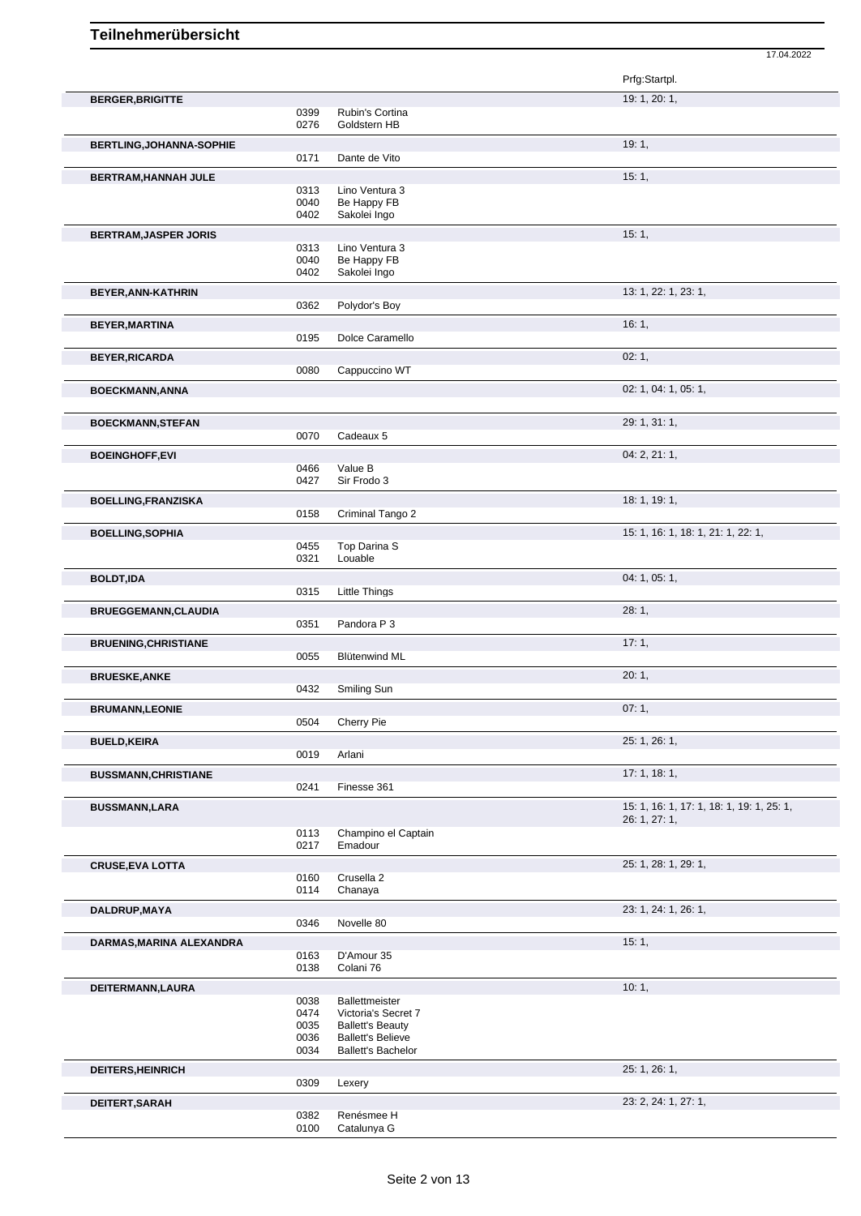|                                 |              |                                                     | Prfg:Startpl.                             |
|---------------------------------|--------------|-----------------------------------------------------|-------------------------------------------|
| <b>BERGER, BRIGITTE</b>         |              |                                                     | 19: 1, 20: 1,                             |
|                                 | 0399         | Rubin's Cortina                                     |                                           |
|                                 | 0276         | Goldstern HB                                        |                                           |
| <b>BERTLING, JOHANNA-SOPHIE</b> |              |                                                     | 19:1,                                     |
|                                 | 0171         | Dante de Vito                                       |                                           |
| BERTRAM, HANNAH JULE            |              |                                                     | 15:1,                                     |
|                                 | 0313         | Lino Ventura 3                                      |                                           |
|                                 | 0040         | Be Happy FB                                         |                                           |
|                                 | 0402         | Sakolei Ingo                                        |                                           |
| <b>BERTRAM, JASPER JORIS</b>    |              |                                                     | 15:1,                                     |
|                                 | 0313         | Lino Ventura 3                                      |                                           |
|                                 | 0040         | Be Happy FB                                         |                                           |
|                                 | 0402         | Sakolei Ingo                                        |                                           |
| BEYER, ANN-KATHRIN              |              |                                                     | 13: 1, 22: 1, 23: 1,                      |
|                                 | 0362         | Polydor's Boy                                       |                                           |
| <b>BEYER, MARTINA</b>           |              |                                                     | 16:1,                                     |
|                                 | 0195         | Dolce Caramello                                     |                                           |
|                                 |              |                                                     |                                           |
| <b>BEYER, RICARDA</b>           |              |                                                     | 02:1,                                     |
|                                 | 0080         | Cappuccino WT                                       |                                           |
| <b>BOECKMANN, ANNA</b>          |              |                                                     | 02: 1, 04: 1, 05: 1,                      |
|                                 |              |                                                     |                                           |
| <b>BOECKMANN, STEFAN</b>        |              |                                                     | 29: 1, 31: 1,                             |
|                                 | 0070         | Cadeaux 5                                           |                                           |
|                                 |              |                                                     |                                           |
| <b>BOEINGHOFF,EVI</b>           |              |                                                     | 04: 2, 21: 1,                             |
|                                 | 0466<br>0427 | Value B<br>Sir Frodo 3                              |                                           |
|                                 |              |                                                     |                                           |
| <b>BOELLING, FRANZISKA</b>      |              |                                                     | 18: 1, 19: 1,                             |
|                                 | 0158         | Criminal Tango 2                                    |                                           |
| <b>BOELLING, SOPHIA</b>         |              |                                                     | 15: 1, 16: 1, 18: 1, 21: 1, 22: 1,        |
|                                 | 0455         | Top Darina S                                        |                                           |
|                                 | 0321         | Louable                                             |                                           |
| <b>BOLDT,IDA</b>                |              |                                                     | 04: 1, 05: 1,                             |
|                                 | 0315         | Little Things                                       |                                           |
|                                 |              |                                                     |                                           |
| <b>BRUEGGEMANN, CLAUDIA</b>     |              |                                                     | 28:1,                                     |
|                                 | 0351         | Pandora P 3                                         |                                           |
| <b>BRUENING, CHRISTIANE</b>     |              |                                                     | 17:1,                                     |
|                                 | 0055         | <b>Blütenwind ML</b>                                |                                           |
|                                 |              |                                                     | 20:1,                                     |
| <b>BRUESKE, ANKE</b>            | 0432         | Smiling Sun                                         |                                           |
|                                 |              |                                                     |                                           |
| <b>BRUMANN,LEONIE</b>           |              |                                                     | 07:1,                                     |
|                                 | 0504         | Cherry Pie                                          |                                           |
| <b>BUELD, KEIRA</b>             |              |                                                     | 25: 1, 26: 1,                             |
|                                 | 0019         | Arlani                                              |                                           |
|                                 |              |                                                     | 17:1, 18:1,                               |
| <b>BUSSMANN, CHRISTIANE</b>     | 0241         | Finesse 361                                         |                                           |
|                                 |              |                                                     |                                           |
| <b>BUSSMANN,LARA</b>            |              |                                                     | 15: 1, 16: 1, 17: 1, 18: 1, 19: 1, 25: 1, |
|                                 |              |                                                     | 26: 1, 27: 1,                             |
|                                 | 0113<br>0217 | Champino el Captain<br>Emadour                      |                                           |
|                                 |              |                                                     |                                           |
| <b>CRUSE, EVA LOTTA</b>         |              |                                                     | 25: 1, 28: 1, 29: 1,                      |
|                                 | 0160         | Crusella 2                                          |                                           |
|                                 | 0114         | Chanaya                                             |                                           |
| DALDRUP, MAYA                   |              |                                                     | 23: 1, 24: 1, 26: 1,                      |
|                                 | 0346         | Novelle 80                                          |                                           |
|                                 |              |                                                     | 15:1,                                     |
| DARMAS, MARINA ALEXANDRA        | 0163         | D'Amour 35                                          |                                           |
|                                 | 0138         | Colani 76                                           |                                           |
|                                 |              |                                                     |                                           |
| DEITERMANN, LAURA               |              |                                                     | 10:1,                                     |
|                                 | 0038         | Ballettmeister                                      |                                           |
|                                 | 0474         | Victoria's Secret 7                                 |                                           |
|                                 | 0035<br>0036 | <b>Ballett's Beauty</b><br><b>Ballett's Believe</b> |                                           |
|                                 | 0034         | <b>Ballett's Bachelor</b>                           |                                           |
|                                 |              |                                                     |                                           |
| DEITERS, HEINRICH               |              |                                                     | 25: 1, 26: 1,                             |
|                                 | 0309         | Lexery                                              |                                           |
| DEITERT, SARAH                  |              |                                                     | 23: 2, 24: 1, 27: 1,                      |
|                                 |              |                                                     |                                           |
|                                 | 0382         | Renésmee H                                          |                                           |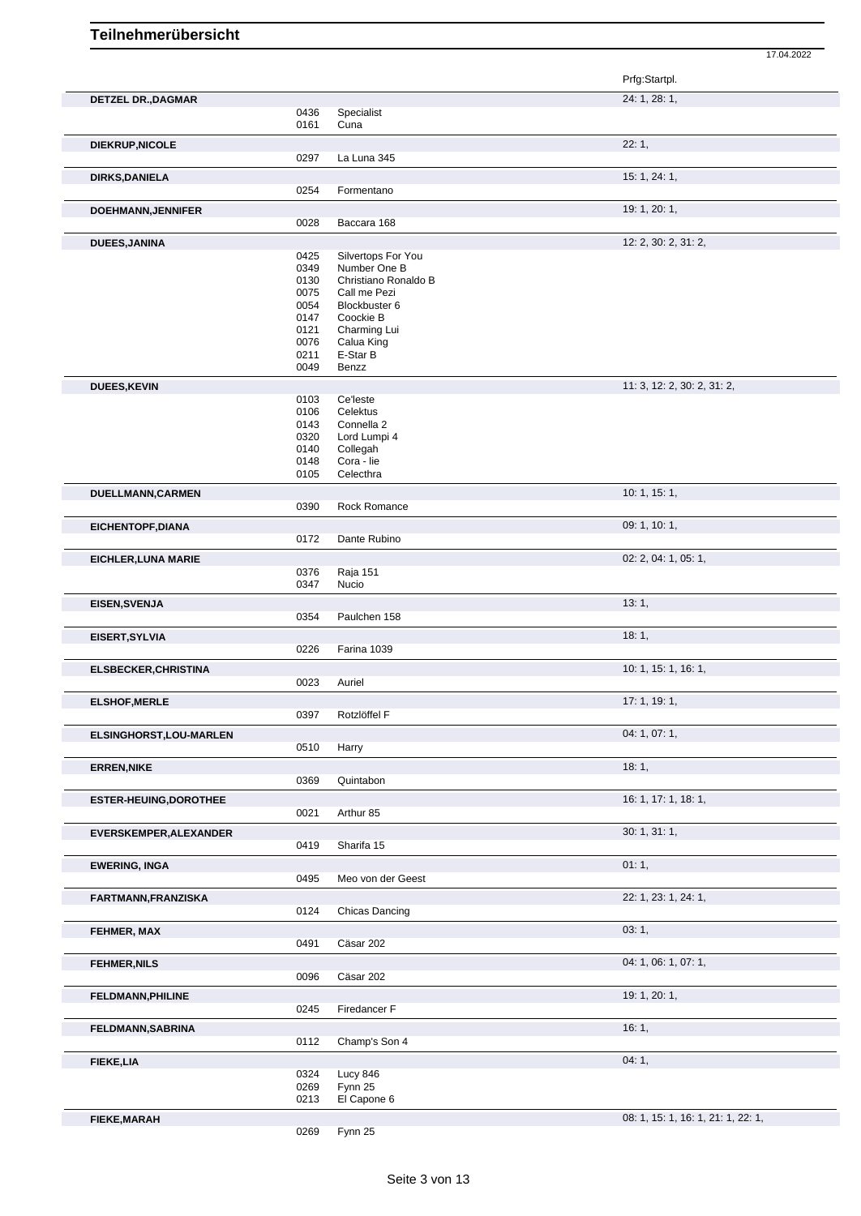|                            |              |                                    | Prfg:Startpl.               |
|----------------------------|--------------|------------------------------------|-----------------------------|
| <b>DETZEL DR., DAGMAR</b>  |              |                                    | 24: 1, 28: 1,               |
|                            | 0436<br>0161 | Specialist<br>Cuna                 |                             |
| <b>DIEKRUP, NICOLE</b>     |              |                                    | 22:1,                       |
|                            | 0297         | La Luna 345                        |                             |
| <b>DIRKS, DANIELA</b>      |              |                                    | 15: 1, 24: 1,               |
|                            | 0254         | Formentano                         |                             |
| DOEHMANN, JENNIFER         |              |                                    | 19: 1, 20: 1,               |
|                            | 0028         | Baccara 168                        |                             |
| <b>DUEES, JANINA</b>       |              |                                    | 12: 2, 30: 2, 31: 2,        |
|                            | 0425<br>0349 | Silvertops For You<br>Number One B |                             |
|                            | 0130         | Christiano Ronaldo B               |                             |
|                            | 0075         | Call me Pezi                       |                             |
|                            | 0054<br>0147 | Blockbuster 6<br>Coockie B         |                             |
|                            | 0121         | Charming Lui                       |                             |
|                            | 0076         | Calua King                         |                             |
|                            | 0211<br>0049 | E-Star B<br>Benzz                  |                             |
|                            |              |                                    |                             |
| <b>DUEES, KEVIN</b>        | 0103         | Ce'leste                           | 11: 3, 12: 2, 30: 2, 31: 2, |
|                            | 0106         | Celektus                           |                             |
|                            | 0143         | Connella 2                         |                             |
|                            | 0320<br>0140 | Lord Lumpi 4<br>Collegah           |                             |
|                            | 0148         | Cora - lie                         |                             |
|                            | 0105         | Celecthra                          |                             |
| DUELLMANN, CARMEN          |              |                                    | 10: 1, 15: 1,               |
|                            | 0390         | Rock Romance                       |                             |
| EICHENTOPF, DIANA          |              |                                    | 09: 1, 10: 1,               |
|                            | 0172         | Dante Rubino                       |                             |
| <b>EICHLER, LUNA MARIE</b> |              |                                    | 02: 2, 04: 1, 05: 1,        |
|                            | 0376         | <b>Raja 151</b>                    |                             |
|                            | 0347         | Nucio                              |                             |
| EISEN, SVENJA              | 0354         | Paulchen 158                       | 13:1,                       |
|                            |              |                                    |                             |
| EISERT, SYLVIA             | 0226         | Farina 1039                        | 18:1,                       |
|                            |              |                                    | 10: 1, 15: 1, 16: 1,        |
| ELSBECKER, CHRISTINA       | 0023         | Auriel                             |                             |
|                            |              |                                    | 17: 1, 19: 1,               |
| <b>ELSHOF, MERLE</b>       | 0397         | Rotzlöffel F                       |                             |
|                            |              |                                    | 04: 1, 07: 1,               |
| ELSINGHORST, LOU-MARLEN    | 0510         | Harry                              |                             |
|                            |              |                                    | 18:1,                       |
| <b>ERREN, NIKE</b>         | 0369         | Quintabon                          |                             |
| ESTER-HEUING, DOROTHEE     |              |                                    | 16: 1, 17: 1, 18: 1,        |
|                            | 0021         | Arthur 85                          |                             |
| EVERSKEMPER, ALEXANDER     |              |                                    | 30: 1, 31: 1,               |
|                            | 0419         | Sharifa 15                         |                             |
| <b>EWERING, INGA</b>       |              |                                    | 01:1,                       |
|                            | 0495         | Meo von der Geest                  |                             |
| FARTMANN, FRANZISKA        |              |                                    | 22: 1, 23: 1, 24: 1,        |
|                            | 0124         | Chicas Dancing                     |                             |
| FEHMER, MAX                |              |                                    | 03:1,                       |
|                            | 0491         | Cäsar 202                          |                             |
| <b>FEHMER, NILS</b>        |              |                                    | 04: 1, 06: 1, 07: 1,        |
|                            | 0096         | Cäsar 202                          |                             |
| FELDMANN, PHILINE          |              |                                    | 19: 1, 20: 1,               |
|                            | 0245         | Firedancer F                       |                             |
| FELDMANN, SABRINA          |              |                                    | 16:1,                       |
|                            | 0112         | Champ's Son 4                      |                             |
| <b>FIEKE, LIA</b>          |              |                                    | 04:1,                       |
|                            | 0324         | <b>Lucy 846</b>                    |                             |
|                            | 0269         | Fynn 25                            |                             |
|                            | 0213         | El Capone 6                        |                             |

Fynn 25

**FIEKE,MARAH** 0269 Fynn 25 08: 1, 15: 1, 16: 1, 16: 1, 21: 1, 22: 1,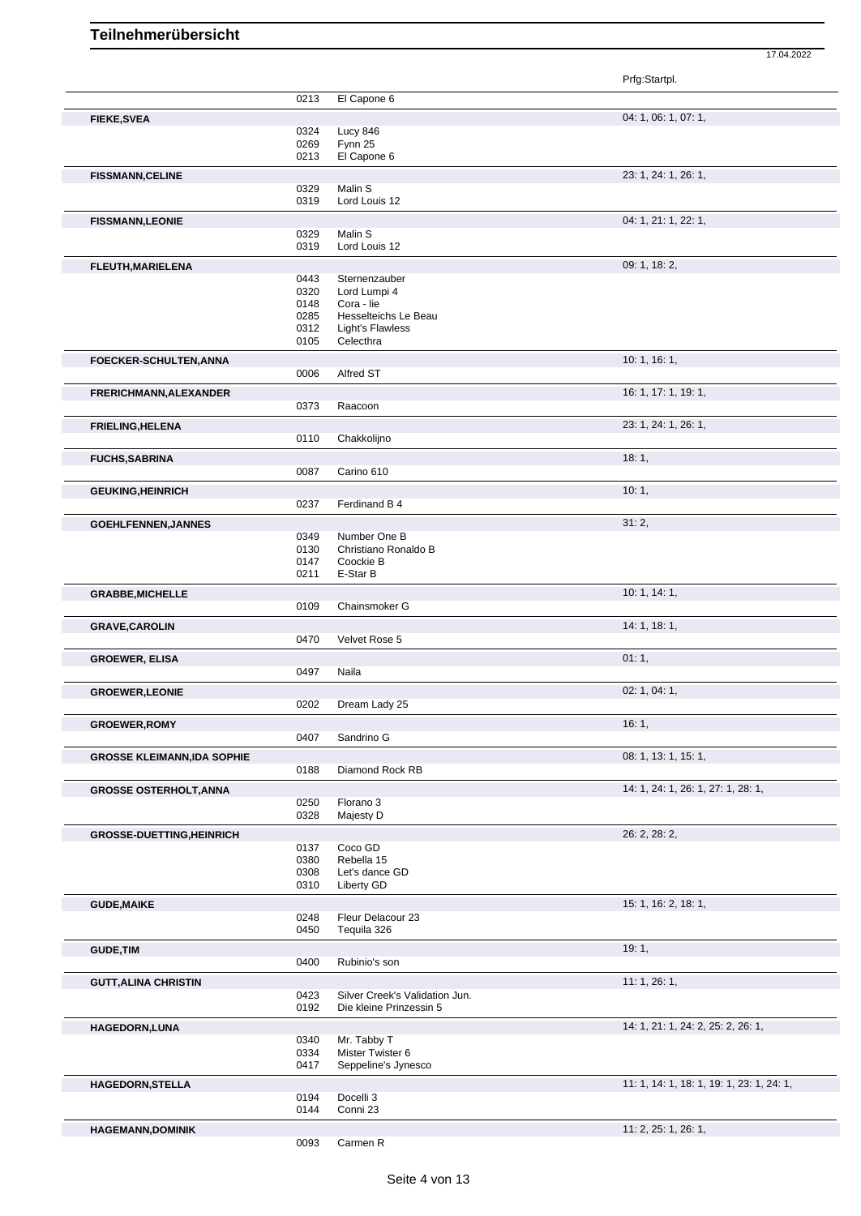|                                   |              |                                                           | Prfg:Startpl.                             |
|-----------------------------------|--------------|-----------------------------------------------------------|-------------------------------------------|
|                                   | 0213         | El Capone 6                                               |                                           |
| <b>FIEKE, SVEA</b>                |              |                                                           | 04: 1, 06: 1, 07: 1,                      |
|                                   | 0324         | Lucy 846                                                  |                                           |
|                                   | 0269         | Fynn 25                                                   |                                           |
|                                   | 0213         | El Capone 6                                               |                                           |
| <b>FISSMANN, CELINE</b>           |              |                                                           | 23: 1, 24: 1, 26: 1,                      |
|                                   | 0329         | Malin S                                                   |                                           |
|                                   | 0319         | Lord Louis 12                                             |                                           |
| <b>FISSMANN,LEONIE</b>            |              |                                                           | 04: 1, 21: 1, 22: 1,                      |
|                                   | 0329<br>0319 | Malin S<br>Lord Louis 12                                  |                                           |
|                                   |              |                                                           |                                           |
| FLEUTH, MARIELENA                 |              |                                                           | 09: 1, 18: 2,                             |
|                                   | 0443<br>0320 | Sternenzauber<br>Lord Lumpi 4                             |                                           |
|                                   | 0148         | Cora - lie                                                |                                           |
|                                   | 0285         | Hesselteichs Le Beau                                      |                                           |
|                                   | 0312         | <b>Light's Flawless</b>                                   |                                           |
|                                   | 0105         | Celecthra                                                 |                                           |
| FOECKER-SCHULTEN, ANNA            |              |                                                           | 10: 1, 16: 1,                             |
|                                   | 0006         | Alfred ST                                                 |                                           |
| FRERICHMANN, ALEXANDER            |              |                                                           | 16: 1, 17: 1, 19: 1,                      |
|                                   | 0373         | Raacoon                                                   |                                           |
| <b>FRIELING, HELENA</b>           |              |                                                           | 23: 1, 24: 1, 26: 1,                      |
|                                   | 0110         | Chakkolijno                                               |                                           |
| <b>FUCHS, SABRINA</b>             |              |                                                           | 18:1,                                     |
|                                   | 0087         | Carino 610                                                |                                           |
| <b>GEUKING, HEINRICH</b>          |              |                                                           | 10:1,                                     |
|                                   | 0237         | Ferdinand B 4                                             |                                           |
|                                   |              |                                                           | 31:2,                                     |
| <b>GOEHLFENNEN, JANNES</b>        | 0349         | Number One B                                              |                                           |
|                                   | 0130         | Christiano Ronaldo B                                      |                                           |
|                                   | 0147         | Coockie B                                                 |                                           |
|                                   | 0211         | E-Star B                                                  |                                           |
| <b>GRABBE, MICHELLE</b>           |              |                                                           | 10: 1, 14: 1,                             |
|                                   | 0109         | Chainsmoker G                                             |                                           |
| <b>GRAVE, CAROLIN</b>             |              |                                                           | 14: 1, 18: 1,                             |
|                                   | 0470         | Velvet Rose 5                                             |                                           |
| <b>GROEWER, ELISA</b>             |              |                                                           | 01:1,                                     |
|                                   | 0497         | Naila                                                     |                                           |
| <b>GROEWER, LEONIE</b>            |              |                                                           | 02: 1, 04: 1,                             |
|                                   | 0202         | Dream Lady 25                                             |                                           |
| <b>GROEWER, ROMY</b>              |              |                                                           | 16:1,                                     |
|                                   | 0407         | Sandrino G                                                |                                           |
| <b>GROSSE KLEIMANN,IDA SOPHIE</b> |              |                                                           | 08: 1, 13: 1, 15: 1,                      |
|                                   | 0188         | Diamond Rock RB                                           |                                           |
| <b>GROSSE OSTERHOLT, ANNA</b>     |              |                                                           | 14: 1, 24: 1, 26: 1, 27: 1, 28: 1,        |
|                                   | 0250         | Florano 3                                                 |                                           |
|                                   | 0328         | Majesty D                                                 |                                           |
| <b>GROSSE-DUETTING, HEINRICH</b>  |              |                                                           | 26: 2, 28: 2,                             |
|                                   | 0137         | Coco GD                                                   |                                           |
|                                   | 0380         | Rebella 15                                                |                                           |
|                                   | 0308<br>0310 | Let's dance GD<br>Liberty GD                              |                                           |
|                                   |              |                                                           |                                           |
| <b>GUDE, MAIKE</b>                | 0248         | Fleur Delacour 23                                         | 15: 1, 16: 2, 18: 1,                      |
|                                   | 0450         | Tequila 326                                               |                                           |
|                                   |              |                                                           |                                           |
| <b>GUDE, TIM</b>                  | 0400         | Rubinio's son                                             | 19:1,                                     |
|                                   |              |                                                           |                                           |
| <b>GUTT, ALINA CHRISTIN</b>       |              |                                                           | 11:1,26:1,                                |
|                                   | 0423<br>0192 | Silver Creek's Validation Jun.<br>Die kleine Prinzessin 5 |                                           |
|                                   |              |                                                           |                                           |
| <b>HAGEDORN,LUNA</b>              | 0340         | Mr. Tabby T                                               | 14: 1, 21: 1, 24: 2, 25: 2, 26: 1,        |
|                                   | 0334         | Mister Twister 6                                          |                                           |
|                                   | 0417         | Seppeline's Jynesco                                       |                                           |
| <b>HAGEDORN,STELLA</b>            |              |                                                           | 11: 1, 14: 1, 18: 1, 19: 1, 23: 1, 24: 1, |
|                                   | 0194         | Docelli 3                                                 |                                           |
|                                   |              |                                                           |                                           |
|                                   | 0144         | Conni 23                                                  |                                           |
| <b>HAGEMANN, DOMINIK</b>          |              |                                                           | 11: 2, 25: 1, 26: 1,                      |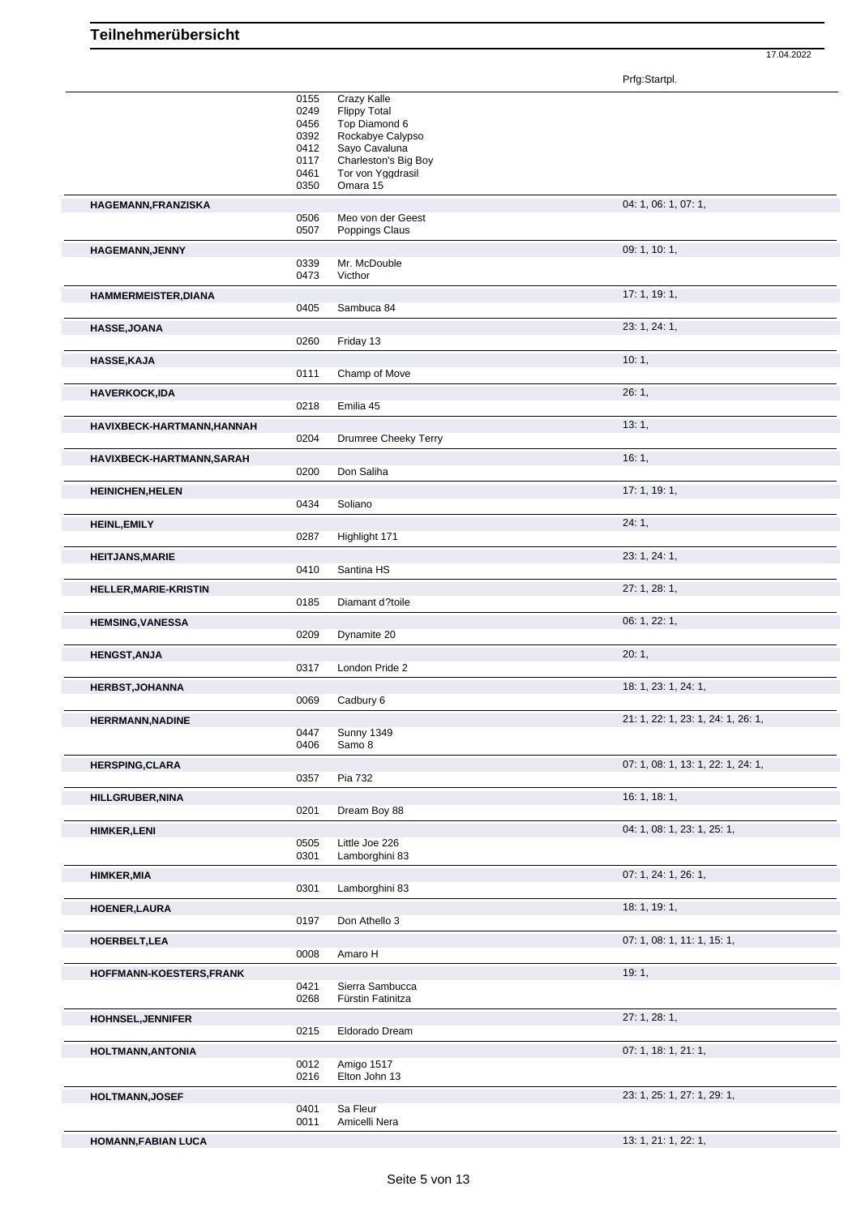Prfg:Startpl.

|                              | 0155<br>0249<br>0456<br>0392<br>0412<br>0117<br>0461<br>0350 | Crazy Kalle<br><b>Flippy Total</b><br>Top Diamond 6<br>Rockabye Calypso<br>Sayo Cavaluna<br>Charleston's Big Boy<br>Tor von Yggdrasil<br>Omara 15 |                                    |
|------------------------------|--------------------------------------------------------------|---------------------------------------------------------------------------------------------------------------------------------------------------|------------------------------------|
| HAGEMANN, FRANZISKA          | 0506<br>0507                                                 | Meo von der Geest<br>Poppings Claus                                                                                                               | 04: 1, 06: 1, 07: 1,               |
| <b>HAGEMANN, JENNY</b>       | 0339<br>0473                                                 | Mr. McDouble<br>Victhor                                                                                                                           | 09: 1, 10: 1,                      |
| HAMMERMEISTER, DIANA         | 0405                                                         | Sambuca 84                                                                                                                                        | 17: 1, 19: 1,                      |
| HASSE, JOANA                 | 0260                                                         | Friday 13                                                                                                                                         | 23: 1, 24: 1,                      |
| <b>HASSE, KAJA</b>           | 0111                                                         | Champ of Move                                                                                                                                     | 10:1,                              |
| <b>HAVERKOCK,IDA</b>         | 0218                                                         | Emilia 45                                                                                                                                         | 26:1,                              |
| HAVIXBECK-HARTMANN, HANNAH   | 0204                                                         | Drumree Cheeky Terry                                                                                                                              | 13:1,                              |
| HAVIXBECK-HARTMANN, SARAH    | 0200                                                         | Don Saliha                                                                                                                                        | 16:1,                              |
| <b>HEINICHEN, HELEN</b>      | 0434                                                         | Soliano                                                                                                                                           | 17: 1, 19: 1,                      |
| <b>HEINL, EMILY</b>          | 0287                                                         | Highlight 171                                                                                                                                     | 24:1,                              |
| <b>HEITJANS, MARIE</b>       | 0410                                                         | Santina HS                                                                                                                                        | 23: 1, 24: 1,                      |
| <b>HELLER, MARIE-KRISTIN</b> | 0185                                                         | Diamant d?toile                                                                                                                                   | 27: 1, 28: 1,                      |
| <b>HEMSING, VANESSA</b>      | 0209                                                         | Dynamite 20                                                                                                                                       | 06: 1, 22: 1,                      |
| <b>HENGST, ANJA</b>          | 0317                                                         | London Pride 2                                                                                                                                    | 20:1,                              |
| <b>HERBST, JOHANNA</b>       | 0069                                                         | Cadbury 6                                                                                                                                         | 18: 1, 23: 1, 24: 1,               |
| <b>HERRMANN, NADINE</b>      | 0447<br>0406                                                 | <b>Sunny 1349</b><br>Samo 8                                                                                                                       | 21: 1, 22: 1, 23: 1, 24: 1, 26: 1, |
| <b>HERSPING, CLARA</b>       | 0357                                                         | Pia 732                                                                                                                                           | 07: 1, 08: 1, 13: 1, 22: 1, 24: 1, |
| <b>HILLGRUBER, NINA</b>      | 0201                                                         | Dream Boy 88                                                                                                                                      | 16: 1, 18: 1,                      |
| <b>HIMKER,LENI</b>           | 0505<br>0301                                                 | Little Joe 226<br>Lamborghini 83                                                                                                                  | 04: 1, 08: 1, 23: 1, 25: 1,        |
| <b>HIMKER, MIA</b>           | 0301                                                         | Lamborghini 83                                                                                                                                    | 07: 1, 24: 1, 26: 1,               |
| <b>HOENER, LAURA</b>         | 0197                                                         | Don Athello 3                                                                                                                                     | 18: 1, 19: 1,                      |
| HOERBELT, LEA                | 0008                                                         | Amaro H                                                                                                                                           | 07: 1, 08: 1, 11: 1, 15: 1,        |
| HOFFMANN-KOESTERS, FRANK     | 0421<br>0268                                                 | Sierra Sambucca<br>Fürstin Fatinitza                                                                                                              | 19:1,                              |
| <b>HOHNSEL, JENNIFER</b>     | 0215                                                         | Eldorado Dream                                                                                                                                    | 27: 1, 28: 1,                      |
| <b>HOLTMANN, ANTONIA</b>     | 0012<br>0216                                                 | Amigo 1517<br>Elton John 13                                                                                                                       | 07: 1, 18: 1, 21: 1,               |
| <b>HOLTMANN, JOSEF</b>       | 0401<br>0011                                                 | Sa Fleur<br>Amicelli Nera                                                                                                                         | 23: 1, 25: 1, 27: 1, 29: 1,        |
| HOMANN, FABIAN LUCA          |                                                              |                                                                                                                                                   | 13: 1, 21: 1, 22: 1,               |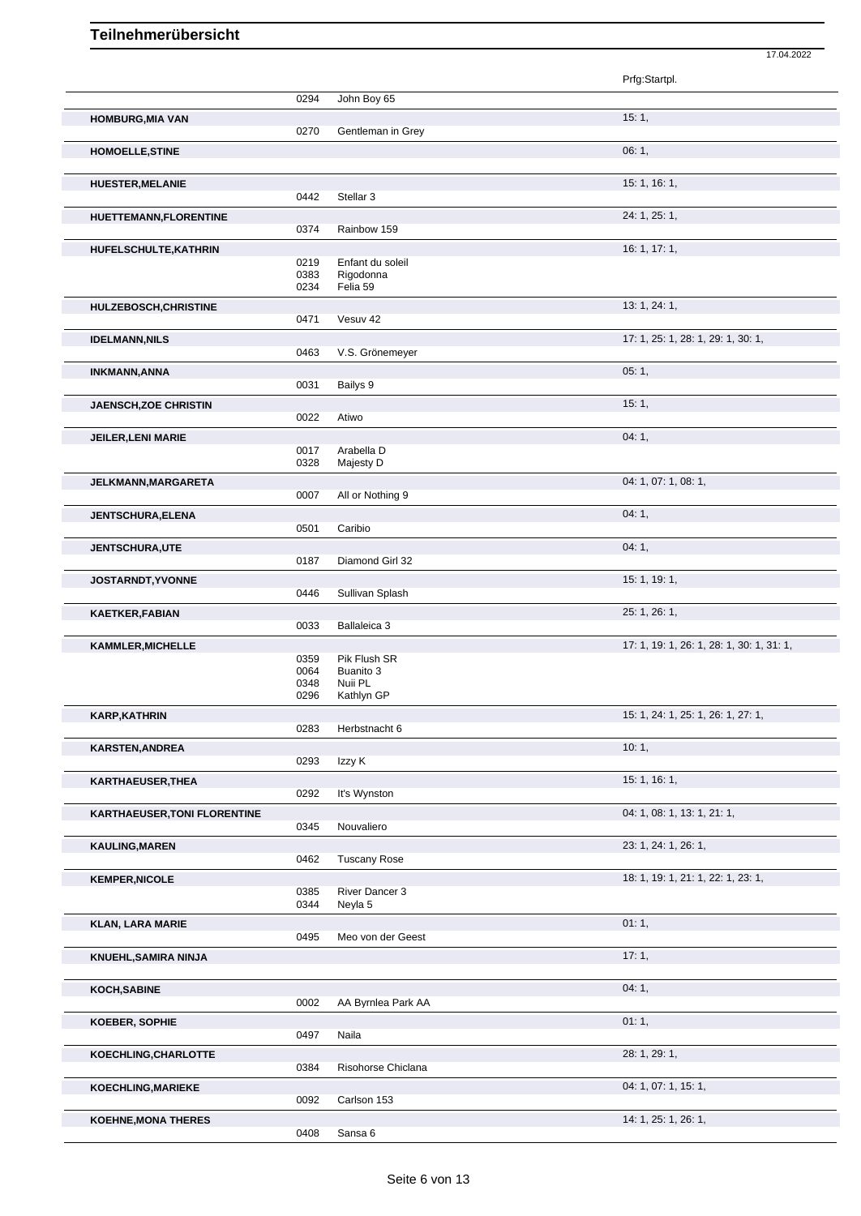|                              |              |                               | Prfg:Startpl.                             |
|------------------------------|--------------|-------------------------------|-------------------------------------------|
|                              | 0294         | John Boy 65                   |                                           |
| <b>HOMBURG, MIA VAN</b>      |              |                               | 15:1,                                     |
|                              | 0270         | Gentleman in Grey             |                                           |
| <b>HOMOELLE, STINE</b>       |              |                               | 06:1,                                     |
| <b>HUESTER, MELANIE</b>      |              |                               | 15: 1, 16: 1,                             |
|                              | 0442         | Stellar <sub>3</sub>          |                                           |
| HUETTEMANN, FLORENTINE       |              |                               | 24: 1, 25: 1,                             |
|                              | 0374         | Rainbow 159                   |                                           |
| HUFELSCHULTE, KATHRIN        |              |                               | 16: 1, 17: 1,                             |
|                              | 0219<br>0383 | Enfant du soleil<br>Rigodonna |                                           |
|                              | 0234         | Felia 59                      |                                           |
| HULZEBOSCH, CHRISTINE        |              |                               | 13: 1, 24: 1,                             |
|                              | 0471         | Vesuv 42                      |                                           |
| <b>IDELMANN, NILS</b>        |              |                               | 17: 1, 25: 1, 28: 1, 29: 1, 30: 1,        |
|                              | 0463         | V.S. Grönemeyer               |                                           |
| <b>INKMANN, ANNA</b>         |              |                               | 05:1,                                     |
|                              | 0031         | Bailys 9                      |                                           |
| <b>JAENSCH,ZOE CHRISTIN</b>  |              |                               | 15:1,                                     |
|                              | 0022         | Atiwo                         |                                           |
| <b>JEILER, LENI MARIE</b>    |              |                               | 04:1,                                     |
|                              | 0017         | Arabella D                    |                                           |
|                              | 0328         | Majesty D                     |                                           |
| JELKMANN, MARGARETA          | 0007         | All or Nothing 9              | 04: 1, 07: 1, 08: 1,                      |
|                              |              |                               |                                           |
| <b>JENTSCHURA, ELENA</b>     | 0501         | Caribio                       | 04:1,                                     |
|                              |              |                               |                                           |
| <b>JENTSCHURA,UTE</b>        | 0187         | Diamond Girl 32               | 04:1,                                     |
|                              |              |                               | 15: 1, 19: 1,                             |
| JOSTARNDT, YVONNE            | 0446         | Sullivan Splash               |                                           |
| <b>KAETKER, FABIAN</b>       |              |                               | 25: 1, 26: 1,                             |
|                              | 0033         | Ballaleica 3                  |                                           |
| <b>KAMMLER, MICHELLE</b>     |              |                               | 17: 1, 19: 1, 26: 1, 28: 1, 30: 1, 31: 1, |
|                              | 0359         | Pik Flush SR                  |                                           |
|                              | 0064<br>0348 | Buanito 3<br>Nuii PL          |                                           |
|                              | 0296         | Kathlyn GP                    |                                           |
| <b>KARP, KATHRIN</b>         |              |                               | 15: 1, 24: 1, 25: 1, 26: 1, 27: 1,        |
|                              | 0283         | Herbstnacht 6                 |                                           |
| KARSTEN, ANDREA              |              |                               | 10:1,                                     |
|                              | 0293         | Izzy K                        |                                           |
| KARTHAEUSER, THEA            |              |                               | 15: 1, 16: 1,                             |
|                              | 0292         | It's Wynston                  |                                           |
| KARTHAEUSER, TONI FLORENTINE |              |                               | 04: 1, 08: 1, 13: 1, 21: 1,               |
|                              | 0345         | Nouvaliero                    |                                           |
| <b>KAULING, MAREN</b>        |              |                               | 23: 1, 24: 1, 26: 1,                      |
|                              | 0462         | <b>Tuscany Rose</b>           |                                           |
| <b>KEMPER, NICOLE</b>        |              |                               | 18: 1, 19: 1, 21: 1, 22: 1, 23: 1,        |
|                              | 0385<br>0344 | River Dancer 3<br>Neyla 5     |                                           |
|                              |              |                               |                                           |
| <b>KLAN, LARA MARIE</b>      | 0495         | Meo von der Geest             | 01:1,                                     |
|                              |              |                               |                                           |
| KNUEHL, SAMIRA NINJA         |              |                               | 17:1,                                     |
| KOCH, SABINE                 |              |                               | 04:1,                                     |
|                              | 0002         | AA Byrnlea Park AA            |                                           |
| KOEBER, SOPHIE               |              |                               | 01:1,                                     |
|                              | 0497         | Naila                         |                                           |
| KOECHLING, CHARLOTTE         |              |                               | 28: 1, 29: 1,                             |
|                              | 0384         | Risohorse Chiclana            |                                           |
| <b>KOECHLING, MARIEKE</b>    |              |                               | 04: 1, 07: 1, 15: 1,                      |
|                              | 0092         | Carlson 153                   |                                           |
| <b>KOEHNE, MONA THERES</b>   |              |                               | 14: 1, 25: 1, 26: 1,                      |
|                              | 0408         | Sansa 6                       |                                           |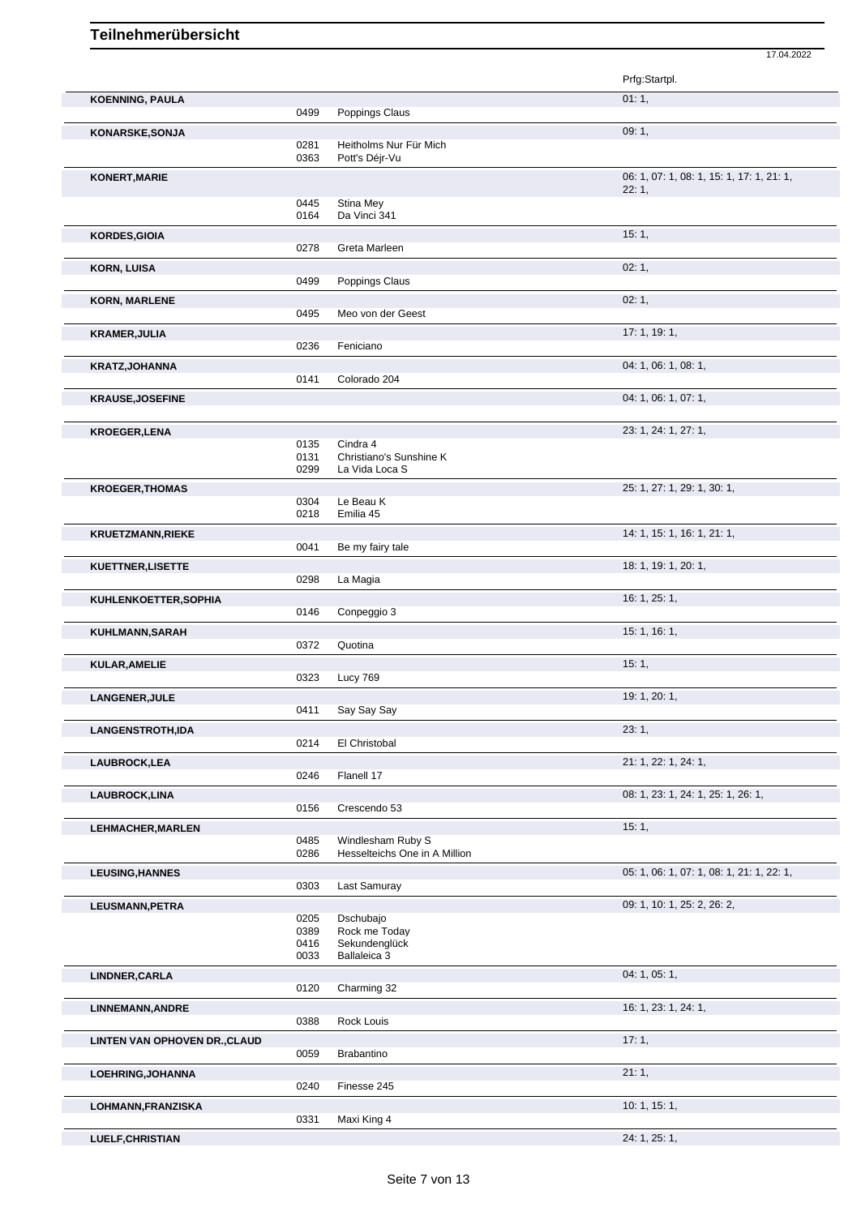|                               |      |                               | 17.04.2022                                         |
|-------------------------------|------|-------------------------------|----------------------------------------------------|
|                               |      |                               | Prfg:Startpl.                                      |
| <b>KOENNING, PAULA</b>        |      |                               | 01:1,                                              |
|                               | 0499 | Poppings Claus                |                                                    |
| KONARSKE, SONJA               | 0281 | Heitholms Nur Für Mich        | 09:1,                                              |
|                               | 0363 | Pott's Déjr-Vu                |                                                    |
| KONERT, MARIE                 |      |                               | 06: 1, 07: 1, 08: 1, 15: 1, 17: 1, 21: 1,<br>22:1, |
|                               | 0445 | Stina Mey                     |                                                    |
|                               | 0164 | Da Vinci 341                  |                                                    |
| <b>KORDES, GIOIA</b>          | 0278 | Greta Marleen                 | 15:1,                                              |
|                               |      |                               | 02:1,                                              |
| <b>KORN, LUISA</b>            | 0499 | Poppings Claus                |                                                    |
| <b>KORN, MARLENE</b>          |      |                               | 02:1,                                              |
|                               | 0495 | Meo von der Geest             |                                                    |
| <b>KRAMER, JULIA</b>          |      |                               | 17: 1, 19: 1,                                      |
|                               | 0236 | Feniciano                     |                                                    |
| KRATZ, JOHANNA                | 0141 | Colorado 204                  | 04: 1, 06: 1, 08: 1,                               |
|                               |      |                               |                                                    |
| <b>KRAUSE, JOSEFINE</b>       |      |                               | 04: 1, 06: 1, 07: 1,                               |
| <b>KROEGER,LENA</b>           |      |                               | 23: 1, 24: 1, 27: 1,                               |
|                               | 0135 | Cindra 4                      |                                                    |
|                               | 0131 | Christiano's Sunshine K       |                                                    |
|                               | 0299 | La Vida Loca S                |                                                    |
| <b>KROEGER, THOMAS</b>        | 0304 | Le Beau K                     | 25: 1, 27: 1, 29: 1, 30: 1,                        |
|                               | 0218 | Emilia 45                     |                                                    |
| <b>KRUETZMANN,RIEKE</b>       |      |                               | 14: 1, 15: 1, 16: 1, 21: 1,                        |
|                               | 0041 | Be my fairy tale              |                                                    |
| KUETTNER, LISETTE             |      |                               | 18: 1, 19: 1, 20: 1,                               |
|                               | 0298 | La Magia                      |                                                    |
| KUHLENKOETTER, SOPHIA         |      |                               | 16: 1, 25: 1,                                      |
|                               | 0146 | Conpeggio 3                   |                                                    |
| KUHLMANN, SARAH               |      |                               | 15: 1, 16: 1,                                      |
|                               | 0372 | Quotina                       |                                                    |
| KULAR, AMELIE                 |      |                               | 15:1,                                              |
|                               | 0323 | Lucy 769                      |                                                    |
| LANGENER, JULE                | 0411 | Say Say Say                   | 19: 1, 20: 1,                                      |
|                               |      |                               | 23:1,                                              |
| <b>LANGENSTROTH,IDA</b>       | 0214 | El Christobal                 |                                                    |
| LAUBROCK, LEA                 |      |                               | 21: 1, 22: 1, 24: 1,                               |
|                               | 0246 | Flanell 17                    |                                                    |
| <b>LAUBROCK,LINA</b>          |      |                               | 08: 1, 23: 1, 24: 1, 25: 1, 26: 1,                 |
|                               | 0156 | Crescendo 53                  |                                                    |
| LEHMACHER, MARLEN             |      |                               | 15:1,                                              |
|                               | 0485 | Windlesham Ruby S             |                                                    |
|                               | 0286 | Hesselteichs One in A Million |                                                    |
| <b>LEUSING, HANNES</b>        |      |                               | 05: 1, 06: 1, 07: 1, 08: 1, 21: 1, 22: 1,          |
|                               | 0303 | Last Samuray                  |                                                    |
| LEUSMANN, PETRA               | 0205 | Dschubajo                     | 09: 1, 10: 1, 25: 2, 26: 2,                        |
|                               | 0389 | Rock me Today                 |                                                    |
|                               | 0416 | Sekundenglück                 |                                                    |
|                               | 0033 | Ballaleica 3                  |                                                    |
| LINDNER, CARLA                |      |                               | 04: 1, 05: 1,                                      |
|                               | 0120 | Charming 32                   |                                                    |
| <b>LINNEMANN, ANDRE</b>       |      |                               | 16: 1, 23: 1, 24: 1,                               |
|                               | 0388 | Rock Louis                    |                                                    |
| LINTEN VAN OPHOVEN DR., CLAUD | 0059 | Brabantino                    | 17:1,                                              |
|                               |      |                               |                                                    |
| LOEHRING, JOHANNA             | 0240 | Finesse 245                   | 21:1,                                              |
| LOHMANN, FRANZISKA            |      |                               | 10: 1, 15: 1,                                      |
|                               | 0331 | Maxi King 4                   |                                                    |
| LUELF, CHRISTIAN              |      |                               | 24: 1, 25: 1,                                      |
|                               |      |                               |                                                    |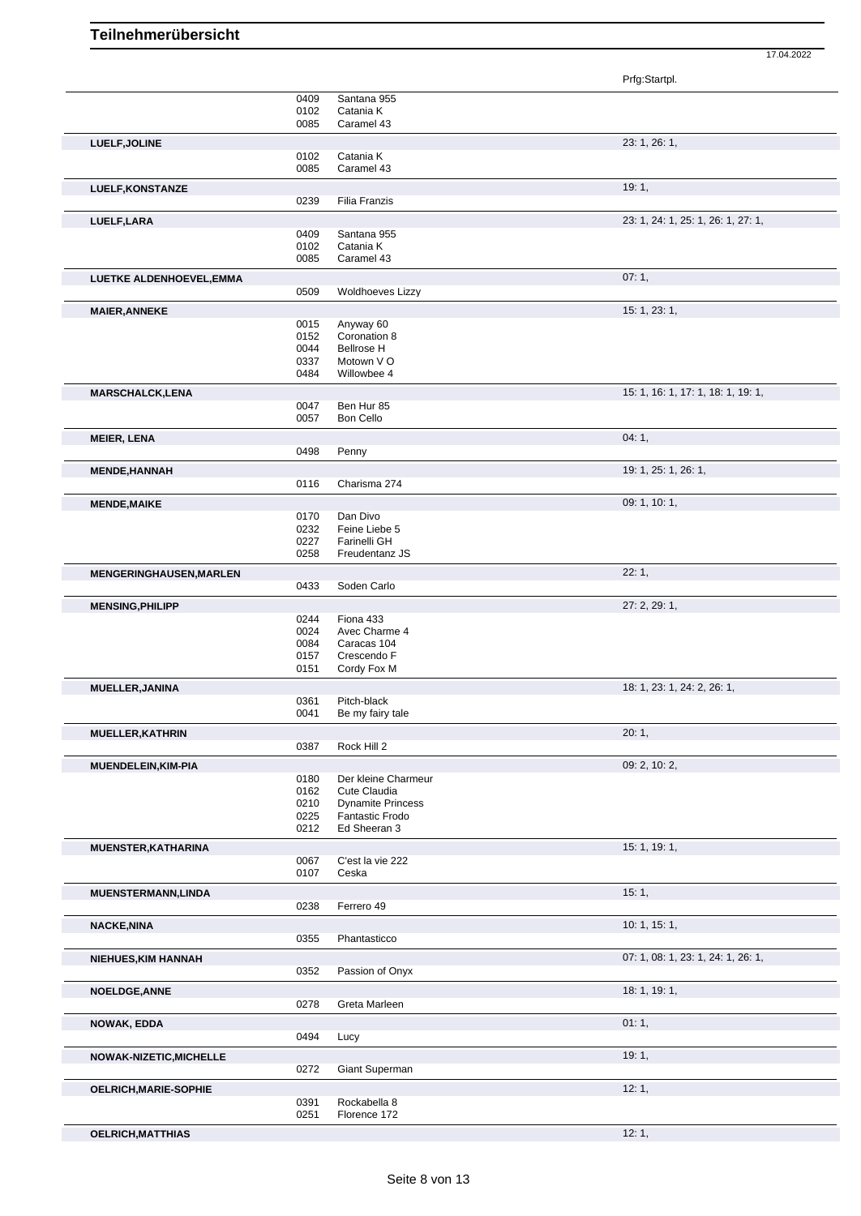|                            |              |                          | Prfg:Startpl.                      |
|----------------------------|--------------|--------------------------|------------------------------------|
|                            |              |                          |                                    |
|                            | 0409<br>0102 | Santana 955<br>Catania K |                                    |
|                            | 0085         | Caramel 43               |                                    |
| LUELF, JOLINE              |              |                          | 23: 1, 26: 1,                      |
|                            | 0102         | Catania K                |                                    |
|                            | 0085         | Caramel 43               |                                    |
| LUELF, KONSTANZE           |              |                          | 19:1,                              |
|                            | 0239         | Filia Franzis            |                                    |
|                            |              |                          | 23: 1, 24: 1, 25: 1, 26: 1, 27: 1, |
| LUELF, LARA                | 0409         | Santana 955              |                                    |
|                            | 0102         | Catania K                |                                    |
|                            | 0085         | Caramel 43               |                                    |
| LUETKE ALDENHOEVEL, EMMA   |              |                          | 07:1,                              |
|                            | 0509         | <b>Woldhoeves Lizzy</b>  |                                    |
|                            |              |                          |                                    |
| <b>MAIER, ANNEKE</b>       | 0015         | Anyway 60                | 15: 1, 23: 1,                      |
|                            | 0152         | Coronation 8             |                                    |
|                            | 0044         | <b>Bellrose H</b>        |                                    |
|                            | 0337         | Motown V O               |                                    |
|                            | 0484         | Willowbee 4              |                                    |
| <b>MARSCHALCK,LENA</b>     |              |                          | 15: 1, 16: 1, 17: 1, 18: 1, 19: 1, |
|                            | 0047         | Ben Hur 85               |                                    |
|                            | 0057         | Bon Cello                |                                    |
| <b>MEIER, LENA</b>         |              |                          | 04:1,                              |
|                            | 0498         | Penny                    |                                    |
| <b>MENDE, HANNAH</b>       |              |                          | 19: 1, 25: 1, 26: 1,               |
|                            | 0116         | Charisma 274             |                                    |
|                            |              |                          | 09: 1, 10: 1,                      |
| <b>MENDE, MAIKE</b>        | 0170         | Dan Divo                 |                                    |
|                            | 0232         | Feine Liebe 5            |                                    |
|                            | 0227         | Farinelli GH             |                                    |
|                            | 0258         | Freudentanz JS           |                                    |
| MENGERINGHAUSEN, MARLEN    |              |                          | 22:1,                              |
|                            | 0433         | Soden Carlo              |                                    |
|                            |              |                          | 27: 2, 29: 1,                      |
| <b>MENSING, PHILIPP</b>    | 0244         | Fiona 433                |                                    |
|                            | 0024         | Avec Charme 4            |                                    |
|                            | 0084         | Caracas 104              |                                    |
|                            | 0157         | Crescendo F              |                                    |
|                            | 0151         | Cordy Fox M              |                                    |
| MUELLER, JANINA            |              |                          | 18: 1, 23: 1, 24: 2, 26: 1,        |
|                            | 0361         | Pitch-black              |                                    |
|                            | 0041         | Be my fairy tale         |                                    |
| <b>MUELLER, KATHRIN</b>    |              |                          | 20:1,                              |
|                            | 0387         | Rock Hill 2              |                                    |
| MUENDELEIN, KIM-PIA        |              |                          | 09: 2, 10: 2,                      |
|                            | 0180         | Der kleine Charmeur      |                                    |
|                            | 0162         | Cute Claudia             |                                    |
|                            | 0210         | <b>Dynamite Princess</b> |                                    |
|                            | 0225         | Fantastic Frodo          |                                    |
|                            | 0212         | Ed Sheeran 3             |                                    |
| MUENSTER, KATHARINA        |              |                          | 15: 1, 19: 1,                      |
|                            | 0067         | C'est la vie 222         |                                    |
|                            | 0107         | Ceska                    |                                    |
| MUENSTERMANN, LINDA        |              |                          | 15:1,                              |
|                            | 0238         | Ferrero 49               |                                    |
| <b>NACKE, NINA</b>         |              |                          | 10: 1, 15: 1,                      |
|                            | 0355         | Phantasticco             |                                    |
| <b>NIEHUES, KIM HANNAH</b> |              |                          | 07: 1, 08: 1, 23: 1, 24: 1, 26: 1, |
|                            | 0352         | Passion of Onyx          |                                    |
|                            |              |                          | 18: 1, 19: 1,                      |
| <b>NOELDGE, ANNE</b>       | 0278         | Greta Marleen            |                                    |
|                            |              |                          |                                    |
| <b>NOWAK, EDDA</b>         |              |                          | 01:1,                              |
|                            | 0494         | Lucy                     |                                    |
| NOWAK-NIZETIC, MICHELLE    |              |                          | 19:1,                              |
|                            | 0272         | Giant Superman           |                                    |
| OELRICH, MARIE-SOPHIE      |              |                          | 12:1,                              |
|                            | 0391         | Rockabella 8             |                                    |
|                            | 0251         | Florence 172             |                                    |
| <b>OELRICH, MATTHIAS</b>   |              |                          | 12:1,                              |
|                            |              |                          |                                    |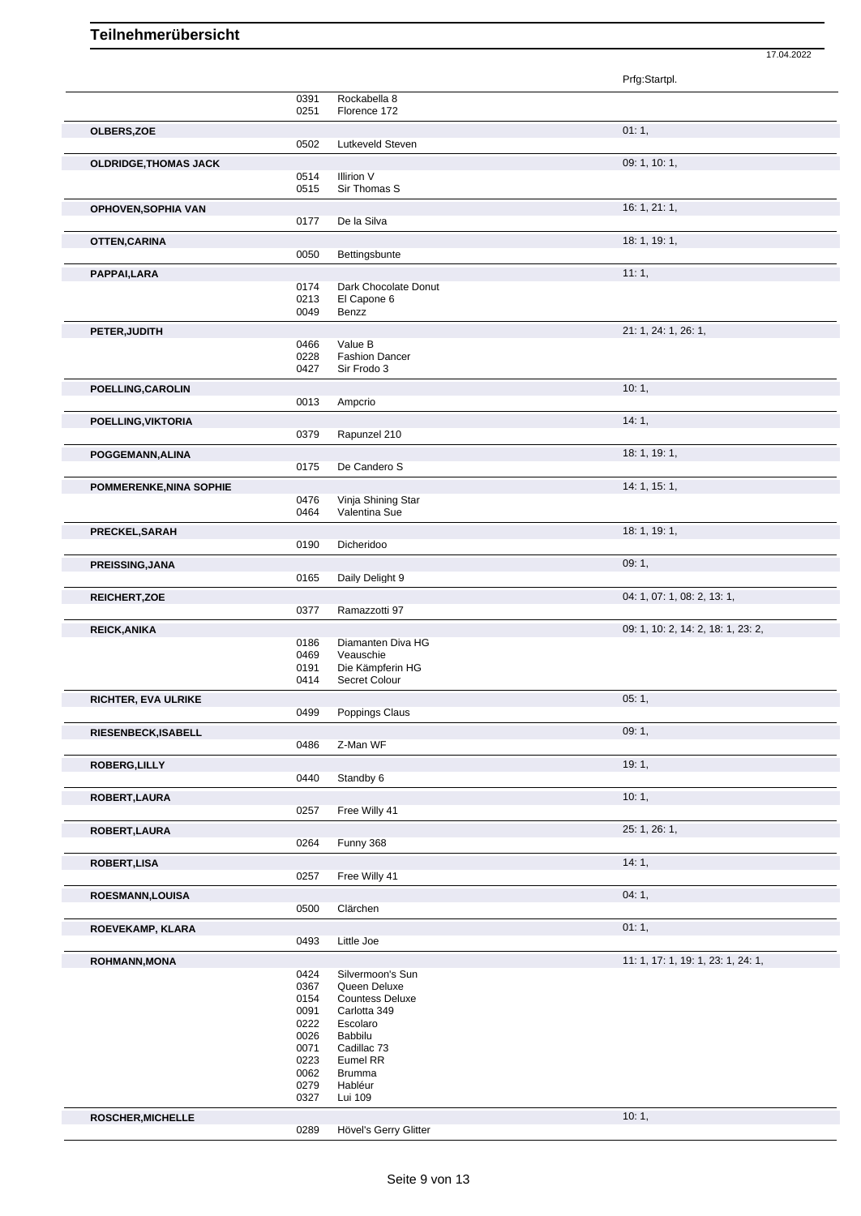|                              |              |                                        | Prfg:Startpl.                      |
|------------------------------|--------------|----------------------------------------|------------------------------------|
|                              | 0391         | Rockabella 8                           |                                    |
|                              | 0251         | Florence 172                           |                                    |
| OLBERS, ZOE                  |              |                                        | 01:1,                              |
|                              | 0502         | Lutkeveld Steven                       |                                    |
| <b>OLDRIDGE, THOMAS JACK</b> |              |                                        | 09: 1, 10: 1,                      |
|                              | 0514         | Illirion V                             |                                    |
|                              | 0515         | Sir Thomas S                           |                                    |
| OPHOVEN, SOPHIA VAN          |              |                                        | 16:1, 21:1,                        |
|                              | 0177         | De la Silva                            |                                    |
| OTTEN, CARINA                |              |                                        | 18: 1, 19: 1,                      |
|                              | 0050         | Bettingsbunte                          |                                    |
| PAPPAI,LARA                  |              |                                        | 11:1,                              |
|                              | 0174         | Dark Chocolate Donut                   |                                    |
|                              | 0213<br>0049 | El Capone 6<br>Benzz                   |                                    |
|                              |              |                                        |                                    |
| PETER, JUDITH                | 0466         | Value B                                | 21: 1, 24: 1, 26: 1,               |
|                              | 0228         | <b>Fashion Dancer</b>                  |                                    |
|                              | 0427         | Sir Frodo 3                            |                                    |
| POELLING, CAROLIN            |              |                                        | 10:1,                              |
|                              | 0013         | Ampcrio                                |                                    |
| POELLING, VIKTORIA           |              |                                        | 14:1,                              |
|                              | 0379         | Rapunzel 210                           |                                    |
| POGGEMANN, ALINA             |              |                                        | 18: 1, 19: 1,                      |
|                              | 0175         | De Candero S                           |                                    |
| POMMERENKE, NINA SOPHIE      |              |                                        | 14: 1, 15: 1,                      |
|                              | 0476         | Vinja Shining Star                     |                                    |
|                              | 0464         | Valentina Sue                          |                                    |
| PRECKEL, SARAH               |              |                                        | 18: 1, 19: 1,                      |
|                              | 0190         | Dicheridoo                             |                                    |
| <b>PREISSING, JANA</b>       |              |                                        | 09:1,                              |
|                              | 0165         | Daily Delight 9                        |                                    |
| REICHERT, ZOE                |              |                                        | 04: 1, 07: 1, 08: 2, 13: 1,        |
|                              | 0377         | Ramazzotti 97                          |                                    |
| <b>REICK, ANIKA</b>          |              |                                        | 09: 1, 10: 2, 14: 2, 18: 1, 23: 2, |
|                              | 0186         | Diamanten Diva HG<br>Veauschie         |                                    |
|                              | 0469<br>0191 | Die Kämpferin HG                       |                                    |
|                              | 0414         | Secret Colour                          |                                    |
| RICHTER, EVA ULRIKE          |              |                                        | 05:1,                              |
|                              | 0499         | Poppings Claus                         |                                    |
| RIESENBECK, ISABELL          |              |                                        | 09:1,                              |
|                              | 0486         | Z-Man WF                               |                                    |
| ROBERG, LILLY                |              |                                        | 19:1,                              |
|                              | 0440         | Standby 6                              |                                    |
| ROBERT, LAURA                |              |                                        | 10:1,                              |
|                              | 0257         | Free Willy 41                          |                                    |
| ROBERT, LAURA                |              |                                        | 25: 1, 26: 1,                      |
|                              | 0264         | Funny 368                              |                                    |
| <b>ROBERT,LISA</b>           |              |                                        | 14:1,                              |
|                              | 0257         | Free Willy 41                          |                                    |
| ROESMANN, LOUISA             |              |                                        | 04:1,                              |
|                              | 0500         | Clärchen                               |                                    |
| ROEVEKAMP, KLARA             |              |                                        | 01:1,                              |
|                              | 0493         | Little Joe                             |                                    |
| ROHMANN, MONA                |              |                                        | 11: 1, 17: 1, 19: 1, 23: 1, 24: 1, |
|                              | 0424         | Silvermoon's Sun                       |                                    |
|                              | 0367         | Queen Deluxe                           |                                    |
|                              | 0154<br>0091 | <b>Countess Deluxe</b><br>Carlotta 349 |                                    |
|                              | 0222         | Escolaro                               |                                    |
|                              | 0026         | Babbilu                                |                                    |
|                              |              |                                        |                                    |
|                              | 0071         | Cadillac <sub>73</sub>                 |                                    |
|                              | 0223<br>0062 | Eumel RR<br><b>Brumma</b>              |                                    |
|                              | 0279<br>0327 | Habléur<br>Lui 109                     |                                    |

**ROSCHER,MICHELLE** 10: 1, Hövel's Gerry Glitter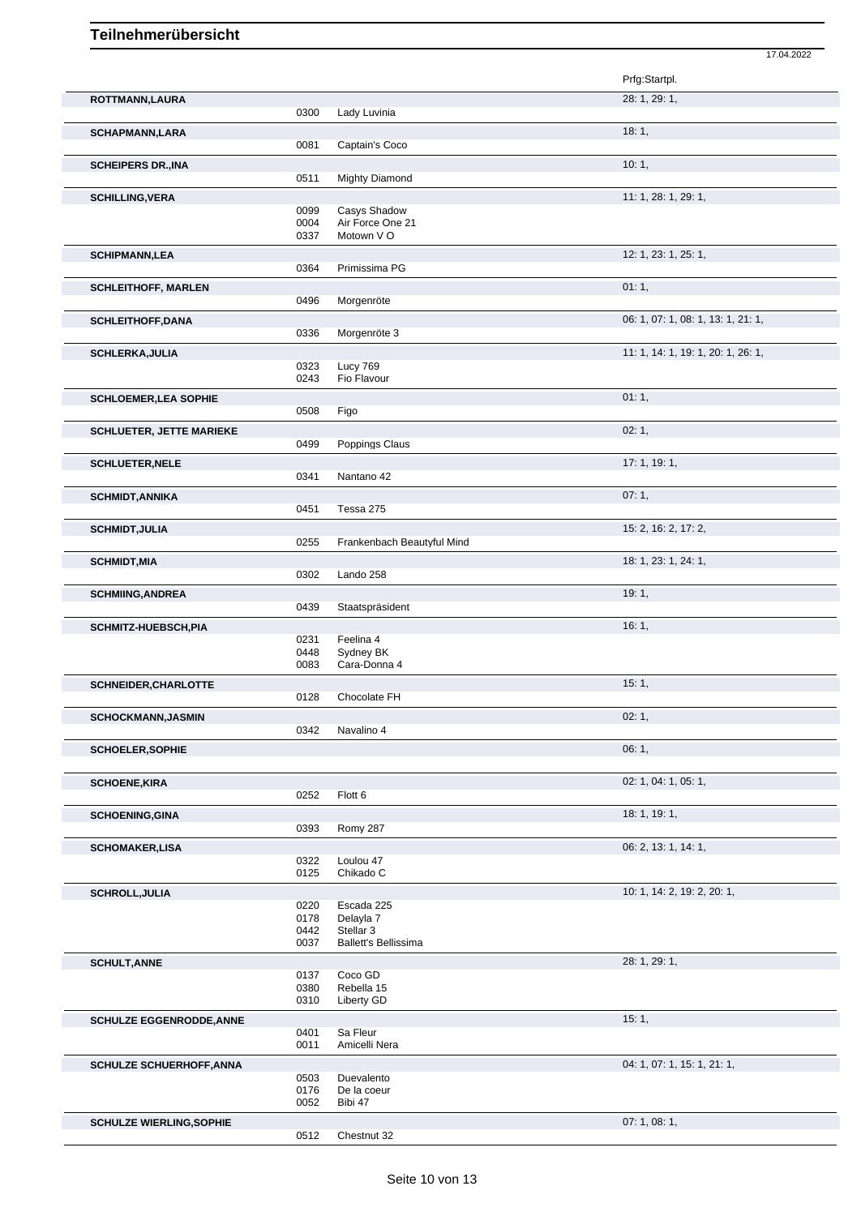|                                 |              |                                  | 17.04.2022                         |
|---------------------------------|--------------|----------------------------------|------------------------------------|
|                                 |              |                                  | Prfg:Startpl.                      |
| ROTTMANN,LAURA                  |              |                                  | 28: 1, 29: 1,                      |
|                                 | 0300         | Lady Luvinia                     |                                    |
|                                 |              |                                  |                                    |
| <b>SCHAPMANN,LARA</b>           | 0081         |                                  | 18:1,                              |
|                                 |              | Captain's Coco                   |                                    |
| <b>SCHEIPERS DR., INA</b>       |              |                                  | 10:1,                              |
|                                 | 0511         | <b>Mighty Diamond</b>            |                                    |
| <b>SCHILLING, VERA</b>          |              |                                  | 11: 1, 28: 1, 29: 1,               |
|                                 | 0099<br>0004 | Casys Shadow<br>Air Force One 21 |                                    |
|                                 | 0337         | Motown V O                       |                                    |
|                                 |              |                                  |                                    |
| <b>SCHIPMANN,LEA</b>            | 0364         | Primissima PG                    | 12: 1, 23: 1, 25: 1,               |
|                                 |              |                                  |                                    |
| <b>SCHLEITHOFF, MARLEN</b>      |              |                                  | 01:1,                              |
|                                 | 0496         | Morgenröte                       |                                    |
| <b>SCHLEITHOFF, DANA</b>        |              |                                  | 06: 1, 07: 1, 08: 1, 13: 1, 21: 1, |
|                                 | 0336         | Morgenröte 3                     |                                    |
| <b>SCHLERKA, JULIA</b>          |              |                                  | 11: 1, 14: 1, 19: 1, 20: 1, 26: 1, |
|                                 | 0323         | Lucy 769                         |                                    |
|                                 | 0243         | Fio Flavour                      |                                    |
| <b>SCHLOEMER, LEA SOPHIE</b>    |              |                                  | 01:1,                              |
|                                 | 0508         | Figo                             |                                    |
| <b>SCHLUETER, JETTE MARIEKE</b> |              |                                  | 02:1,                              |
|                                 | 0499         | Poppings Claus                   |                                    |
| <b>SCHLUETER, NELE</b>          |              |                                  | 17:1, 19:1,                        |
|                                 | 0341         | Nantano 42                       |                                    |
| <b>SCHMIDT, ANNIKA</b>          |              |                                  | 07:1,                              |
|                                 | 0451         | Tessa 275                        |                                    |
| <b>SCHMIDT, JULIA</b>           |              |                                  | 15: 2, 16: 2, 17: 2,               |
|                                 | 0255         | Frankenbach Beautyful Mind       |                                    |
|                                 |              |                                  | 18: 1, 23: 1, 24: 1,               |
| <b>SCHMIDT, MIA</b>             | 0302         | Lando 258                        |                                    |
|                                 |              |                                  |                                    |
| <b>SCHMIING, ANDREA</b>         | 0439         | Staatspräsident                  | 19:1,                              |
|                                 |              |                                  |                                    |
| <b>SCHMITZ-HUEBSCH, PIA</b>     |              | Feelina 4                        | 16:1,                              |
|                                 | 0231<br>0448 | Sydney BK                        |                                    |
|                                 | 0083         | Cara-Donna 4                     |                                    |
| <b>SCHNEIDER, CHARLOTTE</b>     |              |                                  | 15:1,                              |
|                                 | 0128         | Chocolate FH                     |                                    |
|                                 |              |                                  | 02:1,                              |
| SCHOCKMANN, JASMIN              | 0342         | Navalino 4                       |                                    |
|                                 |              |                                  |                                    |
| <b>SCHOELER, SOPHIE</b>         |              |                                  | 06:1,                              |
|                                 |              |                                  |                                    |
| <b>SCHOENE, KIRA</b>            |              |                                  | 02: 1, 04: 1, 05: 1,               |
|                                 | 0252         | Flott <sub>6</sub>               |                                    |
| <b>SCHOENING, GINA</b>          |              |                                  | 18: 1, 19: 1,                      |
|                                 | 0393         | Romy 287                         |                                    |
| <b>SCHOMAKER,LISA</b>           |              |                                  | 06: 2, 13: 1, 14: 1,               |
|                                 | 0322         | Loulou 47                        |                                    |
|                                 | 0125         | Chikado C                        |                                    |
| <b>SCHROLL, JULIA</b>           |              |                                  | 10: 1, 14: 2, 19: 2, 20: 1,        |
|                                 | 0220         | Escada 225                       |                                    |
|                                 | 0178<br>0442 | Delayla 7<br>Stellar 3           |                                    |
|                                 | 0037         | <b>Ballett's Bellissima</b>      |                                    |
|                                 |              |                                  |                                    |
| <b>SCHULT, ANNE</b>             | 0137         | Coco GD                          | 28: 1, 29: 1,                      |
|                                 | 0380         | Rebella 15                       |                                    |
|                                 | 0310         | Liberty GD                       |                                    |
| <b>SCHULZE EGGENRODDE, ANNE</b> |              |                                  | 15:1,                              |
|                                 | 0401         | Sa Fleur                         |                                    |
|                                 | 0011         | Amicelli Nera                    |                                    |
| <b>SCHULZE SCHUERHOFF, ANNA</b> |              |                                  | 04: 1, 07: 1, 15: 1, 21: 1,        |
|                                 | 0503         | Duevalento                       |                                    |
|                                 | 0176         | De la coeur                      |                                    |
|                                 | 0052         | Bibi 47                          |                                    |
| <b>SCHULZE WIERLING, SOPHIE</b> |              |                                  | 07:1,08:1,                         |
|                                 | 0512         | Chestnut 32                      |                                    |

Ì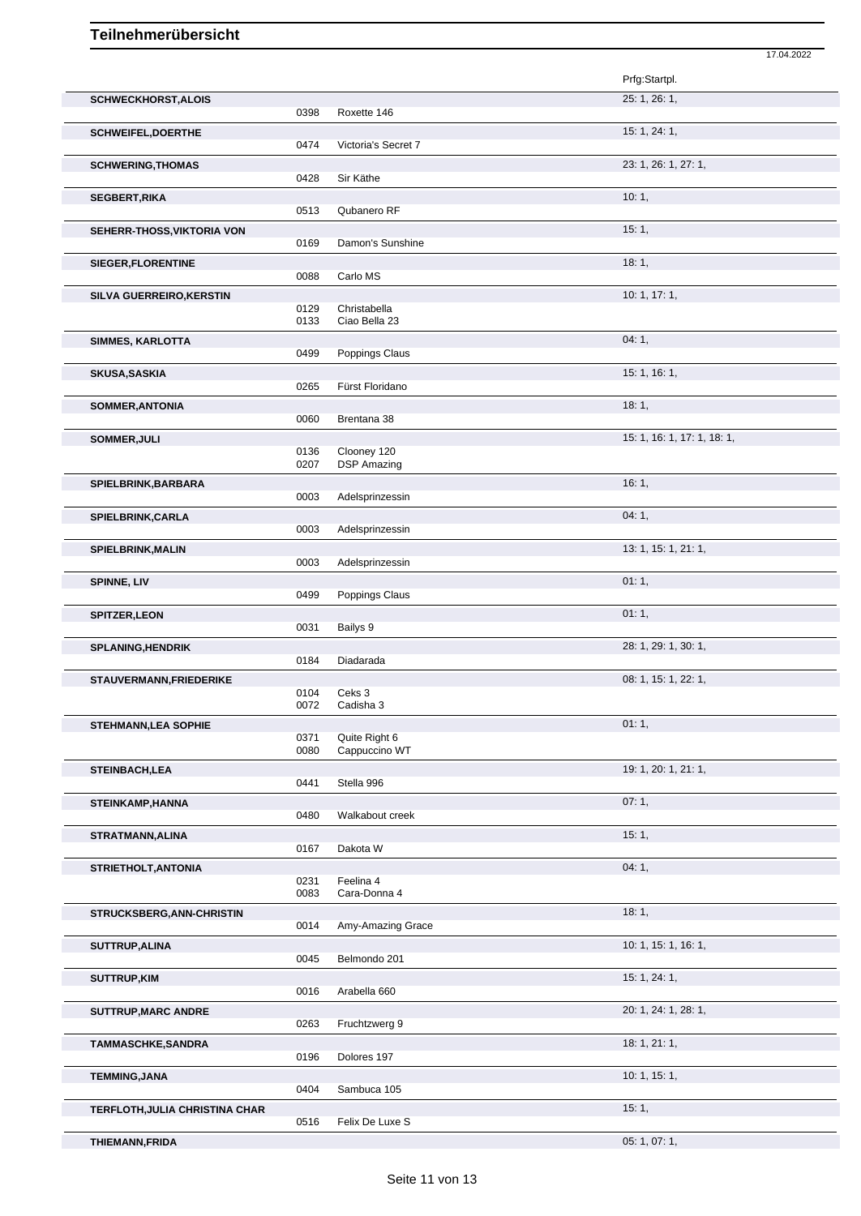|                                |              |                                   | 17.04.2022                  |
|--------------------------------|--------------|-----------------------------------|-----------------------------|
|                                |              |                                   | Prfg:Startpl.               |
| <b>SCHWECKHORST, ALOIS</b>     |              |                                   | 25: 1, 26: 1,               |
|                                | 0398         | Roxette 146                       |                             |
| <b>SCHWEIFEL, DOERTHE</b>      | 0474         | Victoria's Secret 7               | 15: 1, 24: 1,               |
| <b>SCHWERING, THOMAS</b>       |              |                                   | 23: 1, 26: 1, 27: 1,        |
|                                | 0428         | Sir Käthe                         |                             |
| <b>SEGBERT, RIKA</b>           |              |                                   | 10:1,                       |
|                                | 0513         | Qubanero RF                       |                             |
| SEHERR-THOSS, VIKTORIA VON     | 0169         | Damon's Sunshine                  | 15:1,                       |
| SIEGER, FLORENTINE             |              |                                   | 18:1,                       |
|                                | 0088         | Carlo MS                          |                             |
| SILVA GUERREIRO, KERSTIN       |              |                                   | 10: 1, 17: 1,               |
|                                | 0129         | Christabella                      |                             |
|                                | 0133         | Ciao Bella 23                     |                             |
| <b>SIMMES, KARLOTTA</b>        | 0499         | Poppings Claus                    | 04:1,                       |
| <b>SKUSA, SASKIA</b>           |              |                                   | 15: 1, 16: 1,               |
|                                | 0265         | Fürst Floridano                   |                             |
| SOMMER, ANTONIA                |              |                                   | 18:1,                       |
|                                | 0060         | Brentana 38                       |                             |
| SOMMER, JULI                   |              |                                   | 15: 1, 16: 1, 17: 1, 18: 1, |
|                                | 0136<br>0207 | Clooney 120<br><b>DSP Amazing</b> |                             |
|                                |              |                                   | 16:1,                       |
| SPIELBRINK, BARBARA            | 0003         | Adelsprinzessin                   |                             |
| SPIELBRINK, CARLA              |              |                                   | 04:1,                       |
|                                | 0003         | Adelsprinzessin                   |                             |
| SPIELBRINK, MALIN              |              |                                   | 13: 1, 15: 1, 21: 1,        |
|                                | 0003         | Adelsprinzessin                   |                             |
| SPINNE, LIV                    |              |                                   | 01:1,                       |
|                                | 0499         | Poppings Claus                    |                             |
| <b>SPITZER, LEON</b>           | 0031         | Bailys 9                          | 01:1,                       |
| SPLANING, HENDRIK              |              |                                   | 28: 1, 29: 1, 30: 1,        |
|                                | 0184         | Diadarada                         |                             |
| STAUVERMANN, FRIEDERIKE        |              |                                   | 08: 1, 15: 1, 22: 1,        |
|                                | 0104         | Ceks 3                            |                             |
|                                | 0072         | Cadisha 3                         |                             |
| <b>STEHMANN, LEA SOPHIE</b>    | 0371         | Quite Right 6                     | 01:1,                       |
|                                | 0080         | Cappuccino WT                     |                             |
| <b>STEINBACH,LEA</b>           |              |                                   | 19: 1, 20: 1, 21: 1,        |
|                                | 0441         | Stella 996                        |                             |
| <b>STEINKAMP, HANNA</b>        |              |                                   | 07:1,                       |
|                                | 0480         | Walkabout creek                   |                             |
| STRATMANN, ALINA               | 0167         | Dakota W                          | 15:1,                       |
|                                |              |                                   | 04:1,                       |
| STRIETHOLT, ANTONIA            | 0231         | Feelina 4                         |                             |
|                                | 0083         | Cara-Donna 4                      |                             |
| STRUCKSBERG, ANN-CHRISTIN      |              |                                   | 18:1,                       |
|                                | 0014         | Amy-Amazing Grace                 |                             |
| SUTTRUP, ALINA                 |              |                                   | 10: 1, 15: 1, 16: 1,        |
|                                | 0045         | Belmondo 201                      |                             |
| <b>SUTTRUP,KIM</b>             | 0016         | Arabella 660                      | 15: 1, 24: 1,               |
|                                |              |                                   | 20: 1, 24: 1, 28: 1,        |
| SUTTRUP, MARC ANDRE            | 0263         | Fruchtzwerg 9                     |                             |
| TAMMASCHKE, SANDRA             |              |                                   | 18: 1, 21: 1,               |
|                                | 0196         | Dolores 197                       |                             |
| <b>TEMMING, JANA</b>           |              |                                   | 10: 1, 15: 1,               |
|                                | 0404         | Sambuca 105                       |                             |
| TERFLOTH, JULIA CHRISTINA CHAR |              |                                   | 15:1,                       |
|                                | 0516         | Felix De Luxe S                   |                             |
| <b>THIEMANN, FRIDA</b>         |              |                                   | 05: 1, 07: 1,               |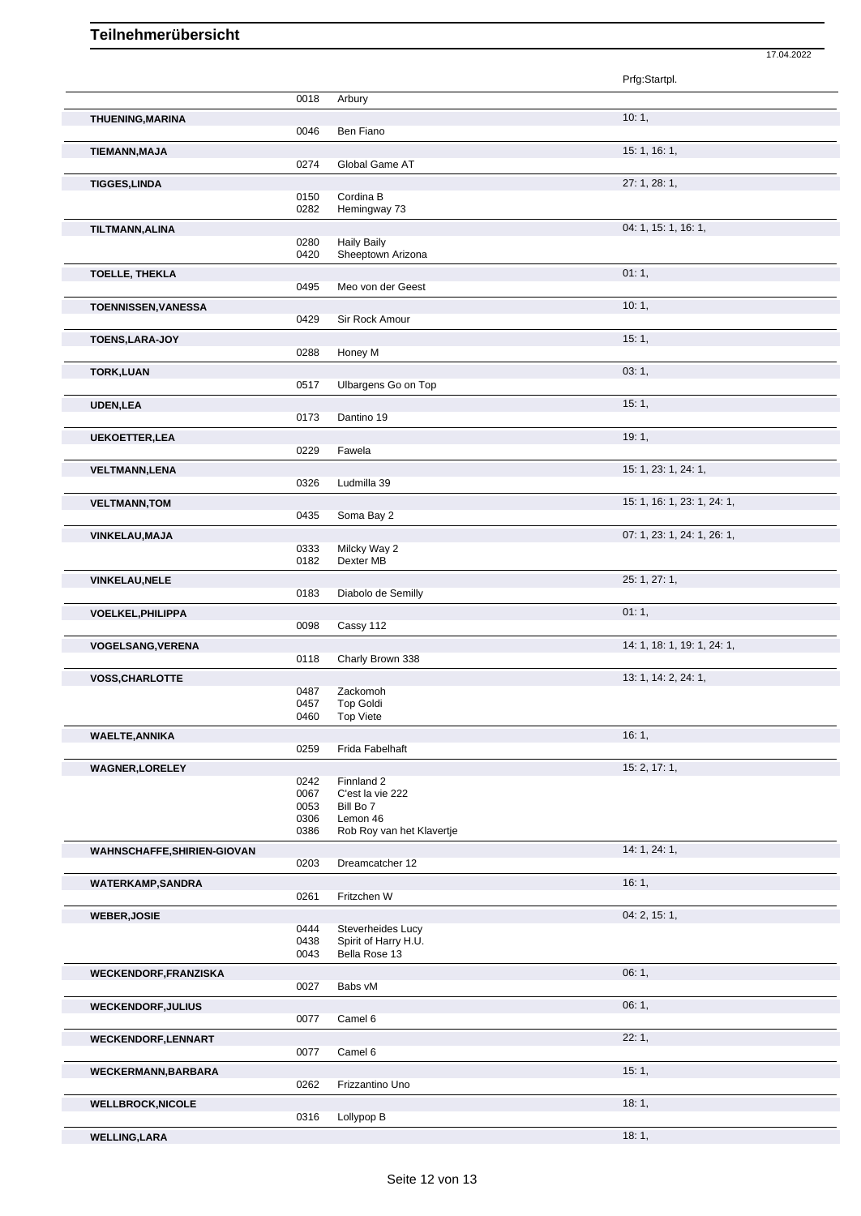|                              |              |                                         | 17.04.2022                  |  |
|------------------------------|--------------|-----------------------------------------|-----------------------------|--|
|                              |              |                                         | Prfg:Startpl.               |  |
|                              | 0018         | Arbury                                  |                             |  |
| <b>THUENING, MARINA</b>      | 0046         | Ben Fiano                               | 10:1,                       |  |
| TIEMANN, MAJA                | 0274         | Global Game AT                          | 15: 1, 16: 1,               |  |
| <b>TIGGES,LINDA</b>          |              |                                         | 27: 1, 28: 1,               |  |
|                              | 0150<br>0282 | Cordina B<br>Hemingway 73               |                             |  |
| TILTMANN, ALINA              |              |                                         | 04: 1, 15: 1, 16: 1,        |  |
|                              | 0280<br>0420 | <b>Haily Baily</b><br>Sheeptown Arizona |                             |  |
| <b>TOELLE, THEKLA</b>        |              |                                         | 01:1,                       |  |
| TOENNISSEN, VANESSA          | 0495         | Meo von der Geest                       | 10:1,                       |  |
|                              | 0429         | Sir Rock Amour                          |                             |  |
| TOENS, LARA-JOY              | 0288         | Honey M                                 | 15:1,                       |  |
| <b>TORK,LUAN</b>             |              |                                         | 03:1,                       |  |
|                              | 0517         | Ulbargens Go on Top                     |                             |  |
| <b>UDEN,LEA</b>              | 0173         | Dantino 19                              | 15:1,                       |  |
| <b>UEKOETTER, LEA</b>        | 0229         | Fawela                                  | 19:1,                       |  |
| <b>VELTMANN,LENA</b>         |              |                                         | 15: 1, 23: 1, 24: 1,        |  |
|                              | 0326         | Ludmilla 39                             |                             |  |
| <b>VELTMANN, TOM</b>         | 0435         | Soma Bay 2                              | 15: 1, 16: 1, 23: 1, 24: 1, |  |
| <b>VINKELAU, MAJA</b>        |              |                                         | 07: 1, 23: 1, 24: 1, 26: 1, |  |
|                              | 0333<br>0182 | Milcky Way 2<br>Dexter MB               |                             |  |
| <b>VINKELAU, NELE</b>        | 0183         | Diabolo de Semilly                      | 25: 1, 27: 1,               |  |
| <b>VOELKEL, PHILIPPA</b>     |              |                                         | 01:1,                       |  |
|                              | 0098         | Cassy 112                               |                             |  |
| <b>VOGELSANG, VERENA</b>     | 0118         | Charly Brown 338                        | 14: 1, 18: 1, 19: 1, 24: 1, |  |
| <b>VOSS, CHARLOTTE</b>       |              |                                         | 13: 1, 14: 2, 24: 1,        |  |
|                              | 0487<br>0457 | Zackomoh<br><b>Top Goldi</b>            |                             |  |
|                              | 0460         | <b>Top Viete</b>                        |                             |  |
| <b>WAELTE, ANNIKA</b>        | 0259         | Frida Fabelhaft                         | 16:1,                       |  |
| <b>WAGNER, LORELEY</b>       |              |                                         | 15: 2, 17: 1,               |  |
|                              | 0242<br>0067 | Finnland 2<br>C'est la vie 222          |                             |  |
|                              | 0053         | Bill Bo 7                               |                             |  |
|                              | 0306<br>0386 | Lemon 46<br>Rob Roy van het Klavertje   |                             |  |
| WAHNSCHAFFE, SHIRIEN-GIOVAN  | 0203         | Dreamcatcher 12                         | 14: 1, 24: 1,               |  |
| <b>WATERKAMP,SANDRA</b>      |              |                                         | 16:1,                       |  |
|                              | 0261         | Fritzchen W                             |                             |  |
| <b>WEBER, JOSIE</b>          | 0444         | Steverheides Lucy                       | 04: 2, 15: 1,               |  |
|                              | 0438<br>0043 | Spirit of Harry H.U.<br>Bella Rose 13   |                             |  |
| <b>WECKENDORF, FRANZISKA</b> |              |                                         | 06:1,                       |  |
|                              | 0027         | Babs vM                                 |                             |  |
| <b>WECKENDORF, JULIUS</b>    | 0077         | Camel 6                                 | 06:1,                       |  |
| <b>WECKENDORF,LENNART</b>    |              |                                         | 22:1,                       |  |
| <b>WECKERMANN, BARBARA</b>   | 0077         | Camel 6                                 | 15:1,                       |  |
|                              | 0262         | Frizzantino Uno                         |                             |  |
| <b>WELLBROCK, NICOLE</b>     | 0316         | Lollypop B                              | 18:1,                       |  |
| <b>WELLING, LARA</b>         |              |                                         | 18:1,                       |  |
|                              |              |                                         |                             |  |